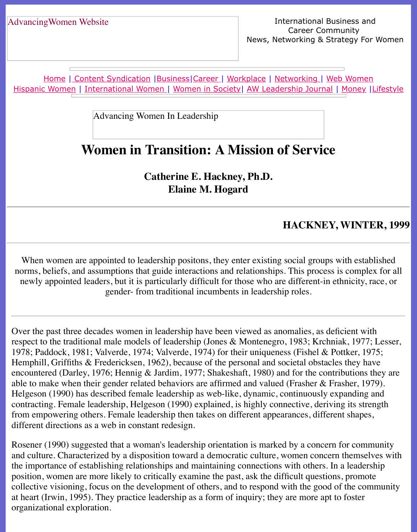Home | Content Syndication | Business | Career | Workplace | Networking | Web Wo Hispanic Women | International Women | Women in Society | AW Leadership Journal | Mon

Advancing Women In Leadership

# **[Women in T](file:///content.html)[ransiti](file:///business.html)[on: A](file:///awcareer.html) [Missio](file:///workplace.html)[n](file:///awl/awl.html) [of Servi](file:///networks.html)[ce](file:///web.html)**

**Catherine E. Hackney, Ph.D. Elaine M. Hogard**

### **HACKNEY, WI**

When women are appointed to leadership positons, they enter existing social groups with norms, beliefs, and assumptions that guide interactions and relationships. This process is complex for all  $\alpha$ newly appointed leaders, but it is particularly difficult for those who are different-in ethnic gender- from traditional incumbents in leadership roles.

Over the past three decades women in leadership have been viewed as anomalies, as deficient respect to the traditional male models of leadership (Jones & Montenegro, 1983; Krchniak, 1 1978; Paddock, 1981; Valverde, 1974; Valverde, 1974) for their uniqueness (Fishel & Pottke Hemphill, Griffiths  $&$  Fredericksen, 1962), because of the personal and societal obstacles the encountered (Darley, 1976; Hennig & Jardim, 1977; Shakeshaft, 1980) and for the contribution able to make when their gender related behaviors are affirmed and valued (Frasher & Frasher, 1979). Helgeson (1990) has described female leadership as web-like, dynamic, continuously expand contracting. Female leadership, Helgeson (1990) explained, is highly connective, deriving its from empowering others. Female leadership then takes on different appearances, different shapes different directions as a web in constant redesign.

Rosener (1990) suggested that a woman's leadership orientation is marked by a concern for community and culture. Characterized by a disposition toward a democratic culture, women concern the the importance of establishing relationships and maintaining connections with others. In a le position, women are more likely to critically examine the past, ask the difficult questions, pro collective visioning, focus on the development of others, and to respond with the good of the at heart (Irwin, 1995). They practice leadership as a form of inquiry; they are more apt to fos organizational exploration.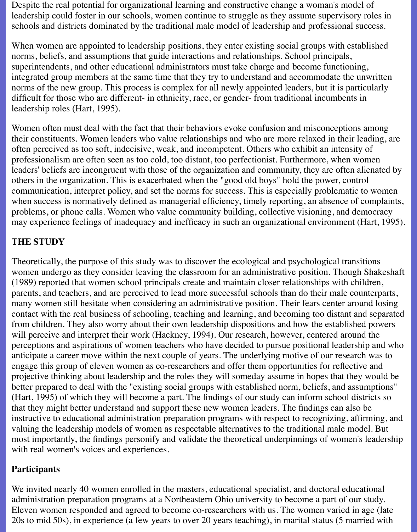Despite the real potential for organizational learning and constructive change a woman's model of leadership could foster in our schools, women continue to struggle as they assume supervisory roles in schools and districts dominated by the traditional male model of leadership and professional success.

When women are appointed to leadership positions, they enter existing social groups with established norms, beliefs, and assumptions that guide interactions and relationships. School principals, superintendents, and other educational administrators must take charge and become functioning, integrated group members at the same time that they try to understand and accommodate the unwritten norms of the new group. This process is complex for all newly appointed leaders, but it is particularly difficult for those who are different- in ethnicity, race, or gender- from traditional incumbents in leadership roles (Hart, 1995).

Women often must deal with the fact that their behaviors evoke confusion and misconceptions among their constituents. Women leaders who value relationships and who are more relaxed in their leading, are often perceived as too soft, indecisive, weak, and incompetent. Others who exhibit an intensity of professionalism are often seen as too cold, too distant, too perfectionist. Furthermore, when women leaders' beliefs are incongruent with those of the organization and community, they are often alienated by others in the organization. This is exacerbated when the "good old boys" hold the power, control communication, interpret policy, and set the norms for success. This is especially problematic to women when success is normatively defined as managerial efficiency, timely reporting, an absence of complaints, problems, or phone calls. Women who value community building, collective visioning, and democracy may experience feelings of inadequacy and inefficacy in such an organizational environment (Hart, 1995).

### **THE STUDY**

Theoretically, the purpose of this study was to discover the ecological and psychological transitions women undergo as they consider leaving the classroom for an administrative position. Though Shakeshaft (1989) reported that women school principals create and maintain closer relationships with children, parents, and teachers, and are perceived to lead more successful schools than do their male counterparts, many women still hesitate when considering an administrative position. Their fears center around losing contact with the real business of schooling, teaching and learning, and becoming too distant and separated from children. They also worry about their own leadership dispositions and how the established powers will perceive and interpret their work (Hackney, 1994). Our research, however, centered around the perceptions and aspirations of women teachers who have decided to pursue positional leadership and who anticipate a career move within the next couple of years. The underlying motive of our research was to engage this group of eleven women as co-researchers and offer them opportunities for reflective and projective thinking about leadership and the roles they will someday assume in hopes that they would be better prepared to deal with the "existing social groups with established norm, beliefs, and assumptions" (Hart, 1995) of which they will become a part. The findings of our study can inform school districts so that they might better understand and support these new women leaders. The findings can also be instructive to educational administration preparation programs with respect to recognizing, affirming, and valuing the leadership models of women as respectable alternatives to the traditional male model. But most importantly, the findings personify and validate the theoretical underpinnings of women's leadership with real women's voices and experiences.

### **Participants**

We invited nearly 40 women enrolled in the masters, educational specialist, and doctoral educational administration preparation programs at a Northeastern Ohio university to become a part of our study. Eleven women responded and agreed to become co-researchers with us. The women varied in age (late 20s to mid 50s), in experience (a few years to over 20 years teaching), in marital status (5 married with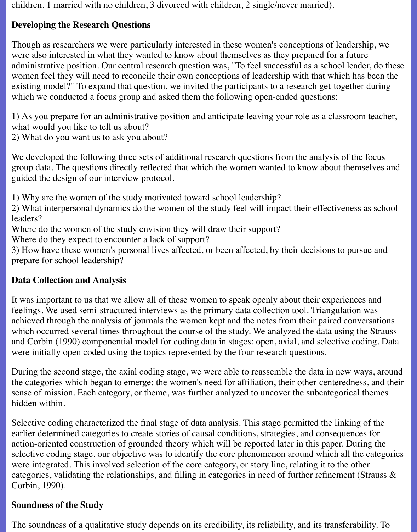children, 1 married with no children, 3 divorced with children, 2 single/never married).

# **Developing the Research Questions**

Though as researchers we were particularly interested in these women's conceptions of leadership, we were also interested in what they wanted to know about themselves as they prepared for a future administrative position. Our central research question was, "To feel successful as a school leader, do these women feel they will need to reconcile their own conceptions of leadership with that which has been the existing model?" To expand that question, we invited the participants to a research get-together during which we conducted a focus group and asked them the following open-ended questions:

1) As you prepare for an administrative position and anticipate leaving your role as a classroom teacher, what would you like to tell us about?

2) What do you want us to ask you about?

We developed the following three sets of additional research questions from the analysis of the focus group data. The questions directly reflected that which the women wanted to know about themselves and guided the design of our interview protocol.

1) Why are the women of the study motivated toward school leadership?

2) What interpersonal dynamics do the women of the study feel will impact their effectiveness as school leaders?

Where do the women of the study envision they will draw their support?

Where do they expect to encounter a lack of support?

3) How have these women's personal lives affected, or been affected, by their decisions to pursue and prepare for school leadership?

# **Data Collection and Analysis**

It was important to us that we allow all of these women to speak openly about their experiences and feelings. We used semi-structured interviews as the primary data collection tool. Triangulation was achieved through the analysis of journals the women kept and the notes from their paired conversations which occurred several times throughout the course of the study. We analyzed the data using the Strauss and Corbin (1990) componential model for coding data in stages: open, axial, and selective coding. Data were initially open coded using the topics represented by the four research questions.

During the second stage, the axial coding stage, we were able to reassemble the data in new ways, around the categories which began to emerge: the women's need for affiliation, their other-centeredness, and their sense of mission. Each category, or theme, was further analyzed to uncover the subcategorical themes hidden within.

Selective coding characterized the final stage of data analysis. This stage permitted the linking of the earlier determined categories to create stories of causal conditions, strategies, and consequences for action-oriented construction of grounded theory which will be reported later in this paper. During the selective coding stage, our objective was to identify the core phenomenon around which all the categories were integrated. This involved selection of the core category, or story line, relating it to the other categories, validating the relationships, and filling in categories in need of further refinement (Strauss & Corbin, 1990).

### **Soundness of the Study**

The soundness of a qualitative study depends on its credibility, its reliability, and its transferability. To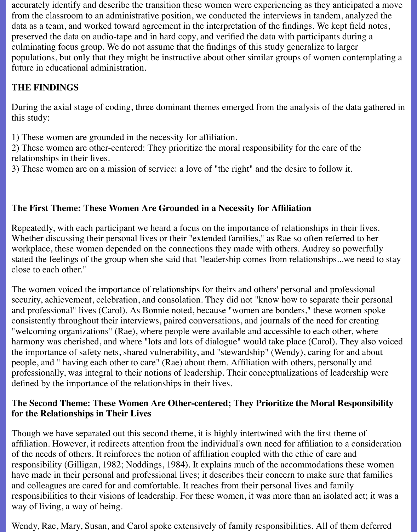accurately identify and describe the transition these women were experiencing as they anticipated a move from the classroom to an administrative position, we conducted the interviews in tandem, analyzed the data as a team, and worked toward agreement in the interpretation of the findings. We kept field notes, preserved the data on audio-tape and in hard copy, and verified the data with participants during a culminating focus group. We do not assume that the findings of this study generalize to larger populations, but only that they might be instructive about other similar groups of women contemplating a future in educational administration.

# **THE FINDINGS**

During the axial stage of coding, three dominant themes emerged from the analysis of the data gathered in this study:

1) These women are grounded in the necessity for affiliation.

2) These women are other-centered: They prioritize the moral responsibility for the care of the relationships in their lives.

3) These women are on a mission of service: a love of "the right" and the desire to follow it.

### **The First Theme: These Women Are Grounded in a Necessity for Affiliation**

Repeatedly, with each participant we heard a focus on the importance of relationships in their lives. Whether discussing their personal lives or their "extended families," as Rae so often referred to her workplace, these women depended on the connections they made with others. Audrey so powerfully stated the feelings of the group when she said that "leadership comes from relationships...we need to stay close to each other."

The women voiced the importance of relationships for theirs and others' personal and professional security, achievement, celebration, and consolation. They did not "know how to separate their personal and professional" lives (Carol). As Bonnie noted, because "women are bonders," these women spoke consistently throughout their interviews, paired conversations, and journals of the need for creating "welcoming organizations" (Rae), where people were available and accessible to each other, where harmony was cherished, and where "lots and lots of dialogue" would take place (Carol). They also voiced the importance of safety nets, shared vulnerability, and "stewardship" (Wendy), caring for and about people, and " having each other to care" (Rae) about them. Affiliation with others, personally and professionally, was integral to their notions of leadership. Their conceptualizations of leadership were defined by the importance of the relationships in their lives.

### **The Second Theme: These Women Are Other-centered; They Prioritize the Moral Responsibility for the Relationships in Their Lives**

Though we have separated out this second theme, it is highly intertwined with the first theme of affiliation. However, it redirects attention from the individual's own need for affiliation to a consideration of the needs of others. It reinforces the notion of affiliation coupled with the ethic of care and responsibility (Gilligan, 1982; Noddings, 1984). It explains much of the accommodations these women have made in their personal and professional lives; it describes their concern to make sure that families and colleagues are cared for and comfortable. It reaches from their personal lives and family responsibilities to their visions of leadership. For these women, it was more than an isolated act; it was a way of living, a way of being.

Wendy, Rae, Mary, Susan, and Carol spoke extensively of family responsibilities. All of them deferred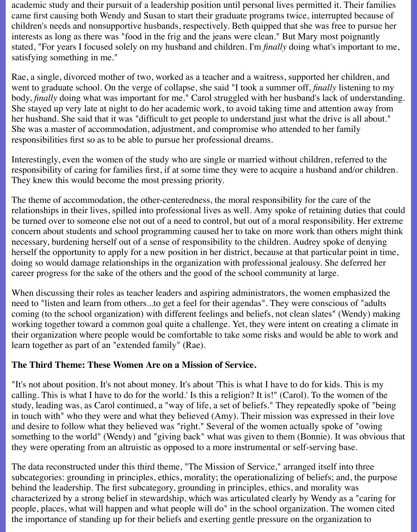academic study and their pursuit of a leadership position until personal lives permitted it. Their families came first causing both Wendy and Susan to start their graduate programs twice, interrupted because of children's needs and nonsupportive husbands, respectively. Beth quipped that she was free to pursue her interests as long as there was "food in the frig and the jeans were clean." But Mary most poignantly stated, "For years I focused solely on my husband and children. I'm *finally* doing what's important to me, satisfying something in me."

Rae, a single, divorced mother of two, worked as a teacher and a waitress, supported her children, and went to graduate school. On the verge of collapse, she said "I took a summer off, *finally* listening to my body, *finally* doing what was important for me." Carol struggled with her husband's lack of understanding. She stayed up very late at night to do her academic work, to avoid taking time and attention away from her husband. She said that it was "difficult to get people to understand just what the drive is all about." She was a master of accommodation, adjustment, and compromise who attended to her family responsibilities first so as to be able to pursue her professional dreams.

Interestingly, even the women of the study who are single or married without children, referred to the responsibility of caring for families first, if at some time they were to acquire a husband and/or children. They knew this would become the most pressing priority.

The theme of accommodation, the other-centeredness, the moral responsibility for the care of the relationships in their lives, spilled into professional lives as well. Amy spoke of retaining duties that could be turned over to someone else not out of a need to control, but out of a moral responsibility. Her extreme concern about students and school programming caused her to take on more work than others might think necessary, burdening herself out of a sense of responsibility to the children. Audrey spoke of denying herself the opportunity to apply for a new position in her district, because at that particular point in time, doing so would damage relationships in the organization with professional jealousy. She deferred her career progress for the sake of the others and the good of the school community at large.

When discussing their roles as teacher leaders and aspiring administrators, the women emphasized the need to "listen and learn from others...to get a feel for their agendas". They were conscious of "adults coming (to the school organization) with different feelings and beliefs, not clean slates" (Wendy) making working together toward a common goal quite a challenge. Yet, they were intent on creating a climate in their organization where people would be comfortable to take some risks and would be able to work and learn together as part of an "extended family" (Rae).

### **The Third Theme: These Women Are on a Mission of Service.**

"It's not about position. It's not about money. It's about 'This is what I have to do for kids. This is my calling. This is what I have to do for the world.' Is this a religion? It is!" (Carol). To the women of the study, leading was, as Carol continued, a "way of life, a set of beliefs." They repeatedly spoke of "being in touch with" who they were and what they believed (Amy). Their mission was expressed in their love and desire to follow what they believed was "right." Several of the women actually spoke of "owing something to the world" (Wendy) and "giving back" what was given to them (Bonnie). It was obvious that they were operating from an altruistic as opposed to a more instrumental or self-serving base.

The data reconstructed under this third theme, "The Mission of Service," arranged itself into three subcategories: grounding in principles, ethics, morality; the operationalizing of beliefs; and, the purpose behind the leadership. The first subcategory, grounding in principles, ethics, and morality was characterized by a strong belief in stewardship, which was articulated clearly by Wendy as a "caring for people, places, what will happen and what people will do" in the school organization. The women cited the importance of standing up for their beliefs and exerting gentle pressure on the organization to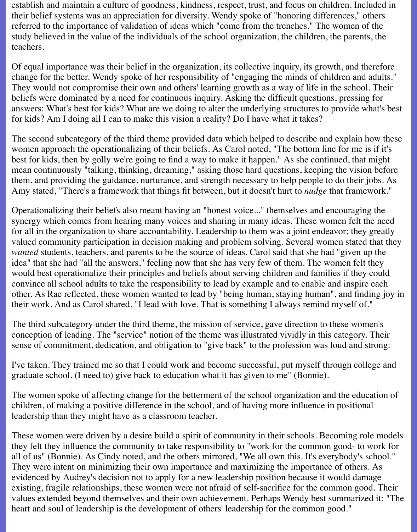establish and maintain a culture of goodness, kindness, respect, trust, and focus on children. Included in their belief systems was an appreciation for diversity. Wendy spoke of "honoring differences," others referred to the importance of validation of ideas which "come from the trenches." The women of the study believed in the value of the individuals of the school organization, the children, the parents, the teachers.

Of equal importance was their belief in the organization, its collective inquiry, its growth, and therefore change for the better. Wendy spoke of her responsibility of "engaging the minds of children and adults." They would not compromise their own and others' learning growth as a way of life in the school. Their beliefs were dominated by a need for continuous inquiry. Asking the difficult questions, pressing for answers: What's best for kids? What are we doing to alter the underlying structures to provide what's best for kids? Am I doing all I can to make this vision a reality? Do I have what it takes?

The second subcategory of the third theme provided data which helped to describe and explain how these women approach the operationalizing of their beliefs. As Carol noted, "The bottom line for me is if it's best for kids, then by golly we're going to find a way to make it happen." As she continued, that might mean continuously "talking, thinking, dreaming," asking those hard questions, keeping the vision before them, and providing the guidance, nurturance, and strength necessary to help people to do their jobs. As Amy stated, "There's a framework that things fit between, but it doesn't hurt to *nudge* that framework."

Operationalizing their beliefs also meant having an "honest voice..." themselves and encouraging the synergy which comes from hearing many voices and sharing in many ideas. These women felt the need for all in the organization to share accountability. Leadership to them was a joint endeavor; they greatly valued community participation in decision making and problem solving. Several women stated that they *wanted* students, teachers, and parents to be the source of ideas. Carol said that she had "given up the idea" that she had "all the answers," feeling now that she has very few of them. The women felt they would best operationalize their principles and beliefs about serving children and families if they could convince all school adults to take the responsibility to lead by example and to enable and inspire each other. As Rae reflected, these women wanted to lead by "being human, staying human", and finding joy in their work. And as Carol shared, "I lead with love. That is something I always remind myself of."

The third subcategory under the third theme, the mission of service, gave direction to these women's conception of leading. The "service" notion of the theme was illustrated vividly in this category. Their sense of commitment, dedication, and obligation to "give back" to the profession was loud and strong:

I've taken. They trained me so that I could work and become successful, put myself through college and graduate school. (I need to) give back to education what it has given to me" (Bonnie).

The women spoke of affecting change for the betterment of the school organization and the education of children, of making a positive difference in the school, and of having more influence in positional leadership than they might have as a classroom teacher.

These women were driven by a desire build a spirit of community in their schools. Becoming role models they felt they influence the community to take responsibility to "work for the common good- to work for all of us" (Bonnie). As Cindy noted, and the others mirrored, "We all own this. It's everybody's school." They were intent on minimizing their own importance and maximizing the importance of others. As evidenced by Audrey's decision not to apply for a new leadership position because it would damage existing, fragile relationships, these women were not afraid of self-sacrifice for the common good. Their values extended beyond themselves and their own achievement. Perhaps Wendy best summarized it: "The heart and soul of leadership is the development of others' leadership for the common good."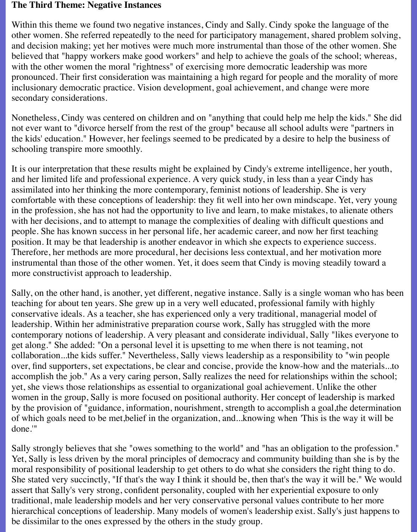#### **The Third Theme: Negative Instances**

Within this theme we found two negative instances, Cindy and Sally. Cindy spoke the language of the other women. She referred repeatedly to the need for participatory management, shared problem solving, and decision making; yet her motives were much more instrumental than those of the other women. She believed that "happy workers make good workers" and help to achieve the goals of the school; whereas, with the other women the moral "rightness" of exercising more democratic leadership was more pronounced. Their first consideration was maintaining a high regard for people and the morality of more inclusionary democratic practice. Vision development, goal achievement, and change were more secondary considerations.

Nonetheless, Cindy was centered on children and on "anything that could help me help the kids." She did not ever want to "divorce herself from the rest of the group" because all school adults were "partners in the kids' education." However, her feelings seemed to be predicated by a desire to help the business of schooling transpire more smoothly.

It is our interpretation that these results might be explained by Cindy's extreme intelligence, her youth, and her limited life and professional experience. A very quick study, in less than a year Cindy has assimilated into her thinking the more contemporary, feminist notions of leadership. She is very comfortable with these conceptions of leadership: they fit well into her own mindscape. Yet, very young in the profession, she has not had the opportunity to live and learn, to make mistakes, to alienate others with her decisions, and to attempt to manage the complexities of dealing with difficult questions and people. She has known success in her personal life, her academic career, and now her first teaching position. It may be that leadership is another endeavor in which she expects to experience success. Therefore, her methods are more procedural, her decisions less contextual, and her motivation more instrumental than those of the other women. Yet, it does seem that Cindy is moving steadily toward a more constructivist approach to leadership.

Sally, on the other hand, is another, yet different, negative instance. Sally is a single woman who has been teaching for about ten years. She grew up in a very well educated, professional family with highly conservative ideals. As a teacher, she has experienced only a very traditional, managerial model of leadership. Within her administrative preparation course work, Sally has struggled with the more contemporary notions of leadership. A very pleasant and considerate individual, Sally "likes everyone to get along." She added: "On a personal level it is upsetting to me when there is not teaming, not collaboration...the kids suffer." Nevertheless, Sally views leadership as a responsibility to "win people over, find supporters, set expectations, be clear and concise, provide the know-how and the materials...to accomplish the job." As a very caring person, Sally realizes the need for relationships within the school; yet, she views those relationships as essential to organizational goal achievement. Unlike the other women in the group, Sally is more focused on positional authority. Her concept of leadership is marked by the provision of "guidance, information, nourishment, strength to accomplish a goal,the determination of which goals need to be met,belief in the organization, and...knowing when *'*This is the way it will be done.'"

Sally strongly believes that she "owes something to the world" and "has an obligation to the profession." Yet, Sally is less driven by the moral principles of democracy and community building than she is by the moral responsibility of positional leadership to get others to do what she considers the right thing to do. She stated very succinctly, "If that's the way I think it should be, then that's the way it will be." We would assert that Sally's very strong, confident personality, coupled with her experiential exposure to only traditional, male leadership models and her very conservative personal values contribute to her more hierarchical conceptions of leadership. Many models of women's leadership exist. Sally's just happens to be dissimilar to the ones expressed by the others in the study group.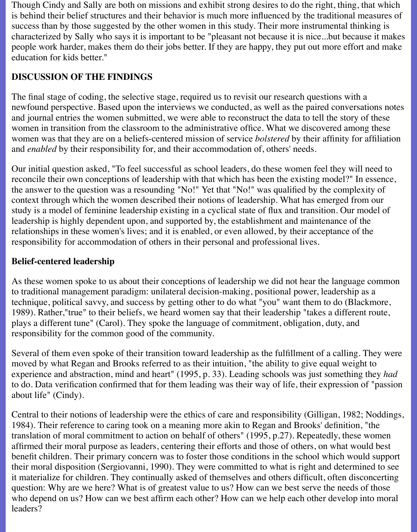Though Cindy and Sally are both on missions and exhibit strong desires to do the right, thing, that which is behind their belief structures and their behavior is much more influenced by the traditional measures of success than by those suggested by the other women in this study. Their more instrumental thinking is characterized by Sally who says it is important to be "pleasant not because it is nice...but because it makes people work harder, makes them do their jobs better. If they are happy, they put out more effort and make education for kids better."

# **DISCUSSION OF THE FINDINGS**

The final stage of coding, the selective stage, required us to revisit our research questions with a newfound perspective. Based upon the interviews we conducted, as well as the paired conversations notes and journal entries the women submitted, we were able to reconstruct the data to tell the story of these women in transition from the classroom to the administrative office. What we discovered among these women was that they are on a beliefs-centered mission of service *bolstered* by their affinity for affiliation and *enabled* by their responsibility for, and their accommodation of, others' needs.

Our initial question asked, "To feel successful as school leaders, do these women feel they will need to reconcile their own conceptions of leadership with that which has been the existing model?" In essence, the answer to the question was a resounding "No!" Yet that "No!" was qualified by the complexity of context through which the women described their notions of leadership. What has emerged from our study is a model of feminine leadership existing in a cyclical state of flux and transition. Our model of leadership is highly dependent upon, and supported by, the establishment and maintenance of the relationships in these women's lives; and it is enabled, or even allowed, by their acceptance of the responsibility for accommodation of others in their personal and professional lives.

# **Belief-centered leadership**

As these women spoke to us about their conceptions of leadership we did not hear the language common to traditional management paradigm: unilateral decision-making, positional power, leadership as a technique, political savvy, and success by getting other to do what "you" want them to do (Blackmore, 1989). Rather,"true" to their beliefs, we heard women say that their leadership "takes a different route, plays a different tune" (Carol). They spoke the language of commitment, obligation, duty, and responsibility for the common good of the community.

Several of them even spoke of their transition toward leadership as the fulfillment of a calling. They were moved by what Regan and Brooks referred to as their intuition, "the ability to give equal weight to experience and abstraction, mind and heart" (1995, p. 33). Leading schools was just something they *had* to do. Data verification confirmed that for them leading was their way of life, their expression of "passion about life" (Cindy).

Central to their notions of leadership were the ethics of care and responsibility (Gilligan, 1982; Noddings, 1984). Their reference to caring took on a meaning more akin to Regan and Brooks' definition, "the translation of moral commitment to action on behalf of others" (1995, p.27). Repeatedly, these women affirmed their moral purpose as leaders, centering their efforts and those of others, on what would best benefit children. Their primary concern was to foster those conditions in the school which would support their moral disposition (Sergiovanni, 1990). They were committed to what is right and determined to see it materialize for children. They continually asked of themselves and others difficult, often disconcerting question: Why are we here? What is of greatest value to us? How can we best serve the needs of those who depend on us? How can we best affirm each other? How can we help each other develop into moral leaders?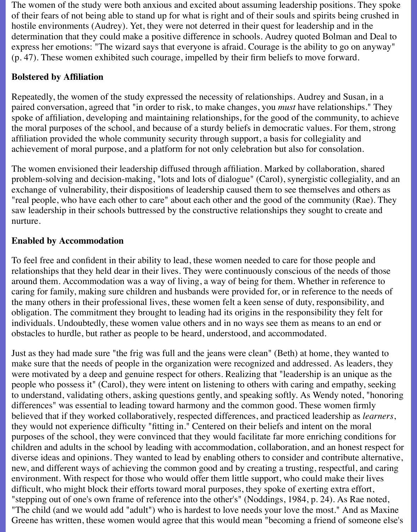The women of the study were both anxious and excited about assuming leadership positions. They spoke of their fears of not being able to stand up for what is right and of their souls and spirits being crushed in hostile environments (Audrey). Yet, they were not deterred in their quest for leadership and in the determination that they could make a positive difference in schools. Audrey quoted Bolman and Deal to express her emotions: "The wizard says that everyone is afraid. Courage is the ability to go on anyway" (p. 47). These women exhibited such courage, impelled by their firm beliefs to move forward.

# **Bolstered by Affiliation**

Repeatedly, the women of the study expressed the necessity of relationships. Audrey and Susan, in a paired conversation, agreed that "in order to risk, to make changes, you *must* have relationships." They spoke of affiliation, developing and maintaining relationships, for the good of the community, to achieve the moral purposes of the school, and because of a sturdy beliefs in democratic values. For them, strong affiliation provided the whole community security through support, a basis for collegiality and achievement of moral purpose, and a platform for not only celebration but also for consolation.

The women envisioned their leadership diffused through affiliation. Marked by collaboration, shared problem-solving and decision-making, "lots and lots of dialogue" (Carol), synergistic collegiality, and an exchange of vulnerability, their dispositions of leadership caused them to see themselves and others as "real people, who have each other to care" about each other and the good of the community (Rae). They saw leadership in their schools buttressed by the constructive relationships they sought to create and nurture.

### **Enabled by Accommodation**

To feel free and confident in their ability to lead, these women needed to care for those people and relationships that they held dear in their lives. They were continuously conscious of the needs of those around them. Accommodation was a way of living, a way of being for them. Whether in reference to caring for family, making sure children and husbands were provided for, or in reference to the needs of the many others in their professional lives, these women felt a keen sense of duty, responsibility, and obligation. The commitment they brought to leading had its origins in the responsibility they felt for individuals. Undoubtedly, these women value others and in no ways see them as means to an end or obstacles to hurdle, but rather as people to be heard, understood, and accommodated.

Just as they had made sure "the frig was full and the jeans were clean" (Beth) at home, they wanted to make sure that the needs of people in the organization were recognized and addressed. As leaders, they were motivated by a deep and genuine respect for others. Realizing that "leadership is an unique as the people who possess it" (Carol), they were intent on listening to others with caring and empathy, seeking to understand, validating others, asking questions gently, and speaking softly. As Wendy noted, "honoring differences" was essential to leading toward harmony and the common good. These women firmly believed that if they worked collaboratively, respected differences, and practiced leadership as *learners*, they would not experience difficulty "fitting in." Centered on their beliefs and intent on the moral purposes of the school, they were convinced that they would facilitate far more enriching conditions for children and adults in the school by leading with accommodation, collaboration, and an honest respect for diverse ideas and opinions. They wanted to lead by enabling others to consider and contribute alternative, new, and different ways of achieving the common good and by creating a trusting, respectful, and caring environment. With respect for those who would offer them little support, who could make their lives difficult, who might block their efforts toward moral purposes, they spoke of exerting extra effort, "stepping out of one's own frame of reference into the other's" (Noddings, 1984, p. 24). As Rae noted, "The child (and we would add "adult") who is hardest to love needs your love the most." And as Maxine Greene has written, these women would agree that this would mean "becoming a friend of someone else's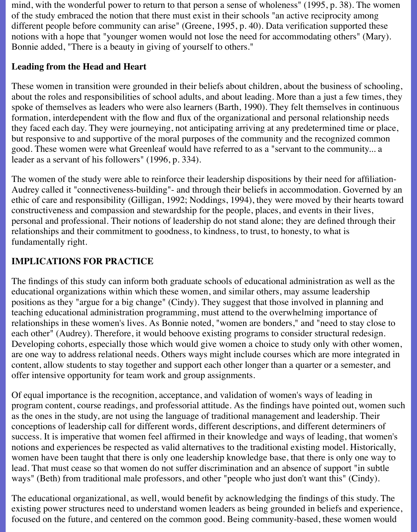mind, with the wonderful power to return to that person a sense of wholeness" (1995, p. 38). The women of the study embraced the notion that there must exist in their schools "an active reciprocity among different people before community can arise" (Greene, 1995, p. 40). Data verification supported these notions with a hope that "younger women would not lose the need for accommodating others" (Mary). Bonnie added, "There is a beauty in giving of yourself to others."

### **Leading from the Head and Heart**

These women in transition were grounded in their beliefs about children, about the business of schooling, about the roles and responsibilities of school adults, and about leading. More than a just a few times, they spoke of themselves as leaders who were also learners (Barth, 1990). They felt themselves in continuous formation, interdependent with the flow and flux of the organizational and personal relationship needs they faced each day. They were journeying, not anticipating arriving at any predetermined time or place, but responsive to and supportive of the moral purposes of the community and the recognized common good. These women were what Greenleaf would have referred to as a "servant to the community... a leader as a servant of his followers" (1996, p. 334).

The women of the study were able to reinforce their leadership dispositions by their need for affiliation-Audrey called it "connectiveness-building"- and through their beliefs in accommodation. Governed by an ethic of care and responsibility (Gilligan, 1992; Noddings, 1994), they were moved by their hearts toward constructiveness and compassion and stewardship for the people, places, and events in their lives, personal and professional. Their notions of leadership do not stand alone; they are defined through their relationships and their commitment to goodness, to kindness, to trust, to honesty, to what is fundamentally right.

# **IMPLICATIONS FOR PRACTICE**

The findings of this study can inform both graduate schools of educational administration as well as the educational organizations within which these women, and similar others, may assume leadership positions as they "argue for a big change" (Cindy). They suggest that those involved in planning and teaching educational administration programming, must attend to the overwhelming importance of relationships in these women's lives. As Bonnie noted, "women are bonders," and "need to stay close to each other" (Audrey). Therefore, it would behoove existing programs to consider structural redesign. Developing cohorts, especially those which would give women a choice to study only with other women, are one way to address relational needs. Others ways might include courses which are more integrated in content, allow students to stay together and support each other longer than a quarter or a semester, and offer intensive opportunity for team work and group assignments.

Of equal importance is the recognition, acceptance, and validation of women's ways of leading in program content, course readings, and professorial attitude. As the findings have pointed out, women such as the ones in the study, are not using the language of traditional management and leadership. Their conceptions of leadership call for different words, different descriptions, and different determiners of success. It is imperative that women feel affirmed in their knowledge and ways of leading, that women's notions and experiences be respected as valid alternatives to the traditional existing model. Historically, women have been taught that there is only one leadership knowledge base, that there is only one way to lead. That must cease so that women do not suffer discrimination and an absence of support "in subtle ways" (Beth) from traditional male professors, and other "people who just don't want this" (Cindy).

The educational organizational, as well, would benefit by acknowledging the findings of this study. The existing power structures need to understand women leaders as being grounded in beliefs and experience, focused on the future, and centered on the common good. Being community-based, these women would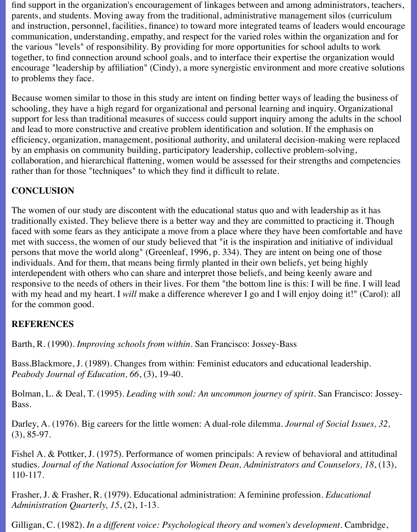find support in the organization's encouragement of linkages between and among administrators, teachers, parents, and students. Moving away from the traditional, administrative management silos (curriculum and instruction, personnel, facilities, finance) to toward more integrated teams of leaders would encourage communication, understanding, empathy, and respect for the varied roles within the organization and for the various "levels" of responsibility. By providing for more opportunities for school adults to work together, to find connection around school goals, and to interface their expertise the organization would encourage "leadership by affiliation" (Cindy), a more synergistic environment and more creative solutions to problems they face.

Because women similar to those in this study are intent on finding better ways of leading the business of schooling, they have a high regard for organizational and personal learning and inquiry. Organizational support for less than traditional measures of success could support inquiry among the adults in the school and lead to more constructive and creative problem identification and solution. If the emphasis on efficiency, organization, management, positional authority, and unilateral decision-making were replaced by an emphasis on community building, participatory leadership, collective problem-solving, collaboration, and hierarchical flattening, women would be assessed for their strengths and competencies rather than for those "techniques" to which they find it difficult to relate.

### **CONCLUSION**

The women of our study are discontent with the educational status quo and with leadership as it has traditionally existed. They believe there is a better way and they are committed to practicing it. Though faced with some fears as they anticipate a move from a place where they have been comfortable and have met with success, the women of our study believed that "it is the inspiration and initiative of individual persons that move the world along" (Greenleaf, 1996, p. 334). They are intent on being one of those individuals. And for them, that means being firmly planted in their own beliefs, yet being highly interdependent with others who can share and interpret those beliefs, and being keenly aware and responsive to the needs of others in their lives. For them "the bottom line is this: I will be fine. I will lead with my head and my heart. I *will* make a difference wherever I go and I will enjoy doing it!" (Carol): all for the common good.

### **REFERENCES**

Barth, R. (1990). *Improving schools from within.* San Francisco: Jossey-Bass

Bass.Blackmore, J. (1989). Changes from within: Feminist educators and educational leadership. *Peabody Journal of Education, 66*, (3), 19-40.

Bolman, L. & Deal, T. (1995). *Leading with soul: An uncommon journey of spirit.* San Francisco: Jossey-Bass.

Darley, A. (1976). Big careers for the little women: A dual-role dilemma. *Journal of Social Issues, 32,* (3), 85-97.

Fishel A. & Pottker, J. (1975). Performance of women principals: A review of behavioral and attitudinal studies. *Journal of the National Association for Women Dean, Administrators and Counselors, 18*, (13), 110-117.

Frasher, J. & Frasher, R. (1979). Educational administration: A feminine profession. *Educational Administration Quarterly, 15*, (2), 1-13.

Gilligan, C. (1982). *In a different voice: Psychological theory and women's development.* Cambridge,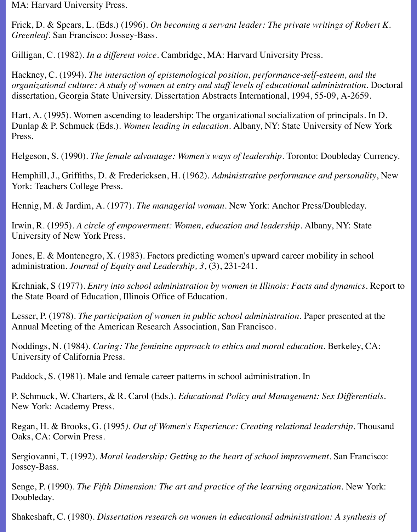MA: Harvard University Press.

Frick, D. & Spears, L. (Eds.) (1996). *On becoming a servant leader: The private writings of Robert K. Greenleaf*. San Francisco: Jossey-Bass.

Gilligan, C. (1982). *In a different voice.* Cambridge, MA: Harvard University Press.

Hackney, C. (1994). *The interaction of epistemological position, performance-self-esteem, and the organizational culture: A study of women at entry and staff levels of educational administration.* Doctoral dissertation, Georgia State University. Dissertation Abstracts International, 1994, 55-09, A-2659.

Hart, A. (1995). Women ascending to leadership: The organizational socialization of principals*.* In D. Dunlap & P. Schmuck (Eds.). *Women leading in education.* Albany, NY: State University of New York Press.

Helgeson, S. (1990). *The female advantage: Women's ways of leadership.* Toronto: Doubleday Currency.

Hemphill, J., Griffiths, D. & Fredericksen, H. (1962). *Administrative performance and personality*, New York: Teachers College Press.

Hennig, M. & Jardim, A. (1977). *The managerial woman.* New York: Anchor Press/Doubleday.

Irwin, R. (1995). *A circle of empowerment: Women, education and leadership*. Albany, NY: State University of New York Press.

Jones, E. & Montenegro, X. (1983). Factors predicting women's upward career mobility in school administration. *Journal of Equity and Leadership, 3*, (3), 231-241.

Krchniak, S (1977). *Entry into school administration by women in Illinois: Facts and dynamics.* Report to the State Board of Education, Illinois Office of Education.

Lesser, P. (1978). *The participation of women in public school administration.* Paper presented at the Annual Meeting of the American Research Association, San Francisco.

Noddings, N. (1984). *Caring: The feminine approach to ethics and moral education.* Berkeley, CA: University of California Press.

Paddock, S. (1981). Male and female career patterns in school administration. In

P. Schmuck, W. Charters, & R. Carol (Eds.). *Educational Policy and Management: Sex Differentials.* New York: Academy Press.

Regan, H. & Brooks, G. (1995). Out of Women's Experience: Creating relational leadership. Thousand Oaks, CA: Corwin Press.

Sergiovanni, T. (1992). *Moral leadership: Getting to the heart of school improvement.* San Francisco: Jossey-Bass.

Senge, P. (1990). *The Fifth Dimension: The art and practice of the learning organization.* New York: Doubleday.

Shakeshaft, C. (1980). *Dissertation research on women in educational administration: A synthesis of*